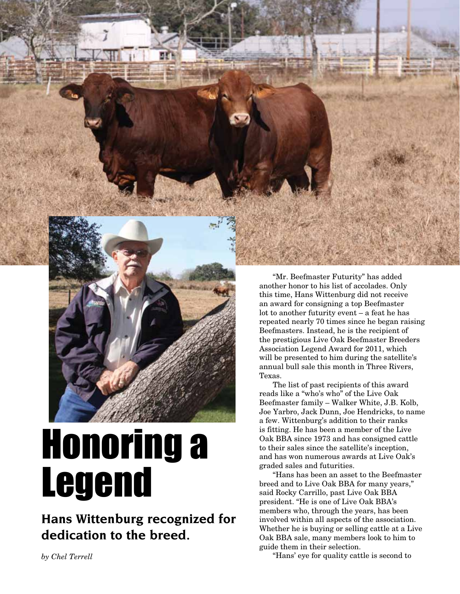

## Honoring a Legend

**Hans Wittenburg recognized for dedication to the breed.**

"Mr. Beefmaster Futurity" has added another honor to his list of accolades. Only this time, Hans Wittenburg did not receive an award for consigning a top Beefmaster lot to another futurity event – a feat he has repeated nearly 70 times since he began raising Beefmasters. Instead, he is the recipient of the prestigious Live Oak Beefmaster Breeders Association Legend Award for 2011, which will be presented to him during the satellite's annual bull sale this month in Three Rivers, Texas.

The list of past recipients of this award reads like a "who's who" of the Live Oak Beefmaster family – Walker White, J.B. Kolb, Joe Yarbro, Jack Dunn, Joe Hendricks, to name a few. Wittenburg's addition to their ranks is fitting. He has been a member of the Live Oak BBA since 1973 and has consigned cattle to their sales since the satellite's inception, and has won numerous awards at Live Oak's graded sales and futurities.

"Hans has been an asset to the Beefmaster breed and to Live Oak BBA for many years," said Rocky Carrillo, past Live Oak BBA president. "He is one of Live Oak BBA's members who, through the years, has been involved within all aspects of the association. Whether he is buying or selling cattle at a Live Oak BBA sale, many members look to him to guide them in their selection.

"Hans' eye for quality cattle is second to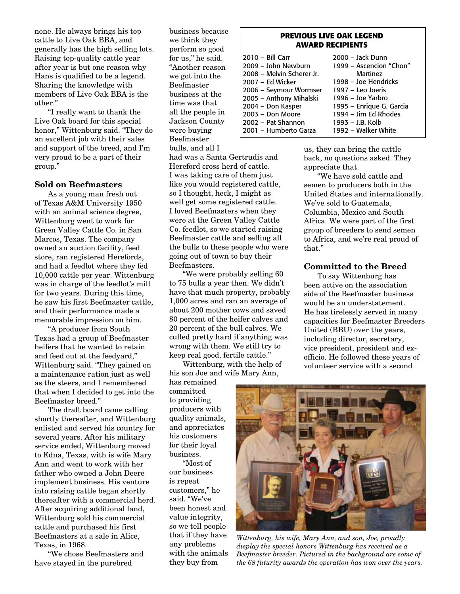none. He always brings his top cattle to Live Oak BBA, and generally has the high selling lots. Raising top-quality cattle year after year is but one reason why Hans is qualified to be a legend. Sharing the knowledge with members of Live Oak BBA is the other."

"I really want to thank the Live Oak board for this special honor," Wittenburg said. "They do an excellent job with their sales and support of the breed, and I'm very proud to be a part of their group."

## **Sold on Beefmasters**

As a young man fresh out of Texas A&M University 1950 with an animal science degree, Wittenburg went to work for Green Valley Cattle Co. in San Marcos, Texas. The company owned an auction facility, feed store, ran registered Herefords, and had a feedlot where they fed 10,000 cattle per year. Wittenburg was in charge of the feedlot's mill for two years. During this time, he saw his first Beefmaster cattle, and their performance made a memorable impression on him.

"A producer from South Texas had a group of Beefmaster heifers that he wanted to retain and feed out at the feedyard," Wittenburg said. "They gained on a maintenance ration just as well as the steers, and I remembered that when I decided to get into the Beefmaster breed."

The draft board came calling shortly thereafter, and Wittenburg enlisted and served his country for several years. After his military service ended, Wittenburg moved to Edna, Texas, with is wife Mary Ann and went to work with her father who owned a John Deere implement business. His venture into raising cattle began shortly thereafter with a commercial herd. After acquiring additional land, Wittenburg sold his commercial cattle and purchased his first Beefmasters at a sale in Alice, Texas, in 1968.

"We chose Beefmasters and have stayed in the purebred

business because we think they perform so good for us," he said. "Another reason we got into the Beefmaster business at the time was that all the people in Jackson County were buying Beefmaster bulls, and all I

## **PREVIOUS LIVE OAK LEGEND AWARD RECIPIENTS**

| 2010 - Bill Carr          | $2000 - Jack$ Dunn       |
|---------------------------|--------------------------|
| 2009 – John Newburn       | 1999 – Ascencion "Chon"  |
| 2008 - Melvin Scherer Jr. | Martinez                 |
| $2007 - Ed$ Wicker        | 1998 – Joe Hendricks     |
| 2006 - Seymour Wormser    | 1997 – Leo Joeris        |
| 2005 - Anthony Mihalski   | 1996 – Joe Yarbro        |
| 2004 - Don Kasper         | 1995 - Enrique G. Garcia |
| 2003 - Don Moore          | 1994 - Jim Ed Rhodes     |
| 2002 - Pat Shannon        | 1993 - J.B. Kolb         |
| 2001 - Humberto Garza     | 1992 - Walker White      |
|                           |                          |

us, they can bring the cattle back, no questions asked. They appreciate that.

"We have sold cattle and semen to producers both in the United States and internationally. We've sold to Guatemala, Columbia, Mexico and South Africa. We were part of the first group of breeders to send semen to Africa, and we're real proud of that."

## **Committed to the Breed**

To say Wittenburg has been active on the association side of the Beefmaster business would be an understatement. He has tirelessly served in many capacities for Beefmaster Breeders United (BBU) over the years, including director, secretary, vice president, president and exofficio. He followed these years of volunteer service with a second



*Wittenburg, his wife, Mary Ann, and son, Joe, proudly display the special honors Wittenburg has received as a Beefmaster breeder. Pictured in the background are some of the 68 futurity awards the operation has won over the years.*

had was a Santa Gertrudis and Hereford cross herd of cattle. I was taking care of them just like you would registered cattle, so I thought, heck, I might as well get some registered cattle. I loved Beefmasters when they were at the Green Valley Cattle Co. feedlot, so we started raising Beefmaster cattle and selling all the bulls to these people who were going out of town to buy their Beefmasters.

"We were probably selling 60 to 75 bulls a year then. We didn't have that much property, probably 1,000 acres and ran an average of about 200 mother cows and saved 80 percent of the heifer calves and 20 percent of the bull calves. We culled pretty hard if anything was wrong with them. We still try to keep real good, fertile cattle."

Wittenburg, with the help of his son Joe and wife Mary Ann,

has remained committed to providing producers with quality animals, and appreciates his customers for their loyal business.

"Most of our business is repeat customers," he said. "We've been honest and value integrity, so we tell people that if they have any problems with the animals they buy from